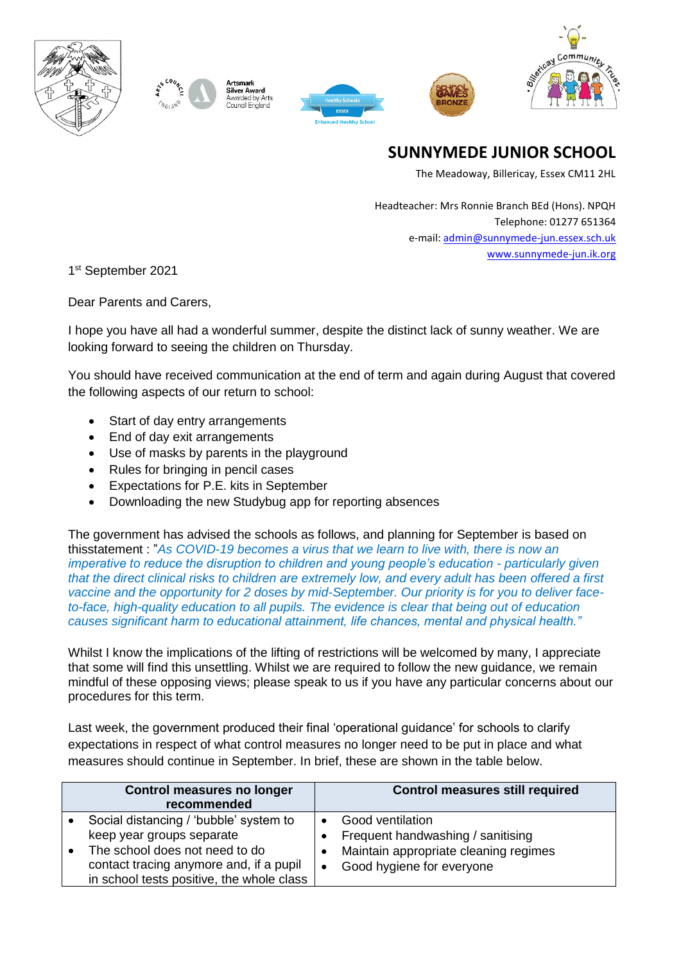







# **SUNNYMEDE JUNIOR SCHOOL**

The Meadoway, Billericay, Essex CM11 2HL

Headteacher: Mrs Ronnie Branch BEd (Hons). NPQH Telephone: 01277 651364 e-mail: [admin@sunnymede-jun.essex.sch.uk](mailto:admin@sunnymede-jun.essex.sch.uk) [www.sunnymede-jun.ik.org](http://www.sunnymede-jun.ik.org/)

1st September 2021

Dear Parents and Carers,

I hope you have all had a wonderful summer, despite the distinct lack of sunny weather. We are looking forward to seeing the children on Thursday.

You should have received communication at the end of term and again during August that covered the following aspects of our return to school:

- Start of day entry arrangements
- End of day exit arrangements
- Use of masks by parents in the playground
- Rules for bringing in pencil cases
- Expectations for P.E. kits in September
- Downloading the new Studybug app for reporting absences

The government has advised the schools as follows, and planning for September is based on thisstatement : "*As COVID-19 becomes a virus that we learn to live with, there is now an imperative to reduce the disruption to children and young people's education - particularly given that the direct clinical risks to children are extremely low, and every adult has been offered a first vaccine and the opportunity for 2 doses by mid-September. Our priority is for you to deliver faceto-face, high-quality education to all pupils. The evidence is clear that being out of education causes significant harm to educational attainment, life chances, mental and physical health."* 

Whilst I know the implications of the lifting of restrictions will be welcomed by many, I appreciate that some will find this unsettling. Whilst we are required to follow the new guidance, we remain mindful of these opposing views; please speak to us if you have any particular concerns about our procedures for this term.

Last week, the government produced their final 'operational guidance' for schools to clarify expectations in respect of what control measures no longer need to be put in place and what measures should continue in September. In brief, these are shown in the table below.

| <b>Control measures no longer</b><br>recommended |                                                                                                                                                                                               | <b>Control measures still required</b>                                                                                                          |  |
|--------------------------------------------------|-----------------------------------------------------------------------------------------------------------------------------------------------------------------------------------------------|-------------------------------------------------------------------------------------------------------------------------------------------------|--|
| $\bullet$                                        | Social distancing / 'bubble' system to<br>keep year groups separate<br>The school does not need to do<br>contact tracing anymore and, if a pupil<br>in school tests positive, the whole class | <b>Good ventilation</b><br>Frequent handwashing / sanitising<br>Maintain appropriate cleaning regimes<br>Good hygiene for everyone<br>$\bullet$ |  |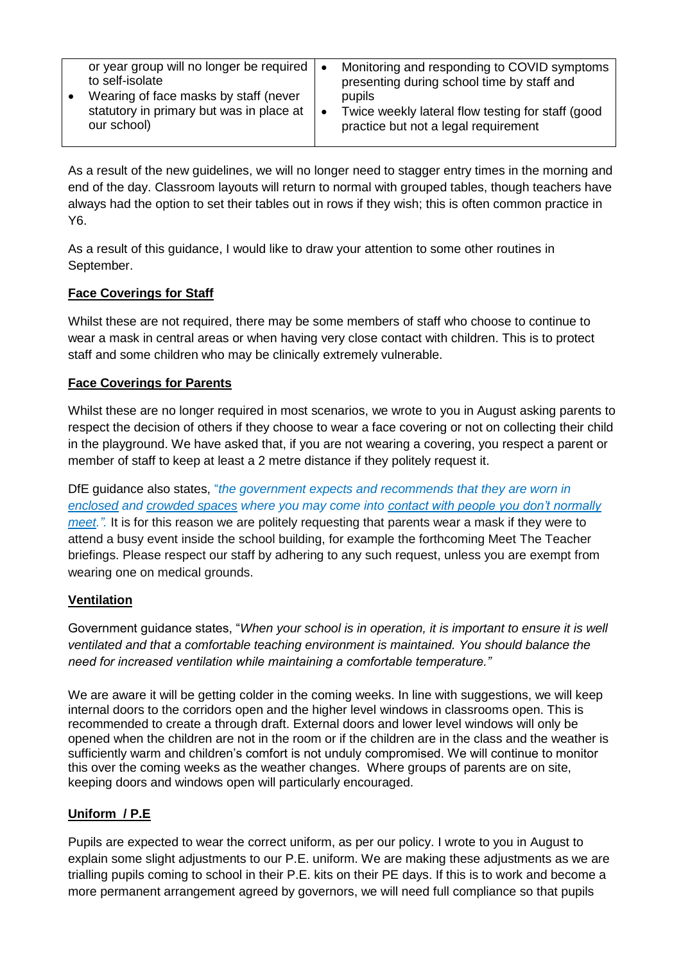| or year group will no longer be required $\vert \bullet \vert$<br>to self-isolate<br>Wearing of face masks by staff (never<br>statutory in primary but was in place at  <br>our school) | Monitoring and responding to COVID symptoms<br>presenting during school time by staff and<br>pupils<br>Twice weekly lateral flow testing for staff (good<br>∣ ●<br>practice but not a legal requirement |
|-----------------------------------------------------------------------------------------------------------------------------------------------------------------------------------------|---------------------------------------------------------------------------------------------------------------------------------------------------------------------------------------------------------|

As a result of the new guidelines, we will no longer need to stagger entry times in the morning and end of the day. Classroom layouts will return to normal with grouped tables, though teachers have always had the option to set their tables out in rows if they wish; this is often common practice in Y6.

As a result of this guidance, I would like to draw your attention to some other routines in September.

#### **Face Coverings for Staff**

Whilst these are not required, there may be some members of staff who choose to continue to wear a mask in central areas or when having very close contact with children. This is to protect staff and some children who may be clinically extremely vulnerable.

#### **Face Coverings for Parents**

Whilst these are no longer required in most scenarios, we wrote to you in August asking parents to respect the decision of others if they choose to wear a face covering or not on collecting their child in the playground. We have asked that, if you are not wearing a covering, you respect a parent or member of staff to keep at least a 2 metre distance if they politely request it.

DfE guidance also states, "*the government expects and recommends that they are worn in enclosed and crowded spaces where you may come into contact with people you don't normally meet.".* It is for this reason we are politely requesting that parents wear a mask if they were to attend a busy event inside the school building, for example the forthcoming Meet The Teacher briefings. Please respect our staff by adhering to any such request, unless you are exempt from wearing one on medical grounds.

# **Ventilation**

Government guidance states, "*When your school is in operation, it is important to ensure it is well ventilated and that a comfortable teaching environment is maintained. You should balance the need for increased ventilation while maintaining a comfortable temperature."*

We are aware it will be getting colder in the coming weeks. In line with suggestions, we will keep internal doors to the corridors open and the higher level windows in classrooms open. This is recommended to create a through draft. External doors and lower level windows will only be opened when the children are not in the room or if the children are in the class and the weather is sufficiently warm and children's comfort is not unduly compromised. We will continue to monitor this over the coming weeks as the weather changes. Where groups of parents are on site, keeping doors and windows open will particularly encouraged.

# **Uniform / P.E**

Pupils are expected to wear the correct uniform, as per our policy. I wrote to you in August to explain some slight adjustments to our P.E. uniform. We are making these adjustments as we are trialling pupils coming to school in their P.E. kits on their PE days. If this is to work and become a more permanent arrangement agreed by governors, we will need full compliance so that pupils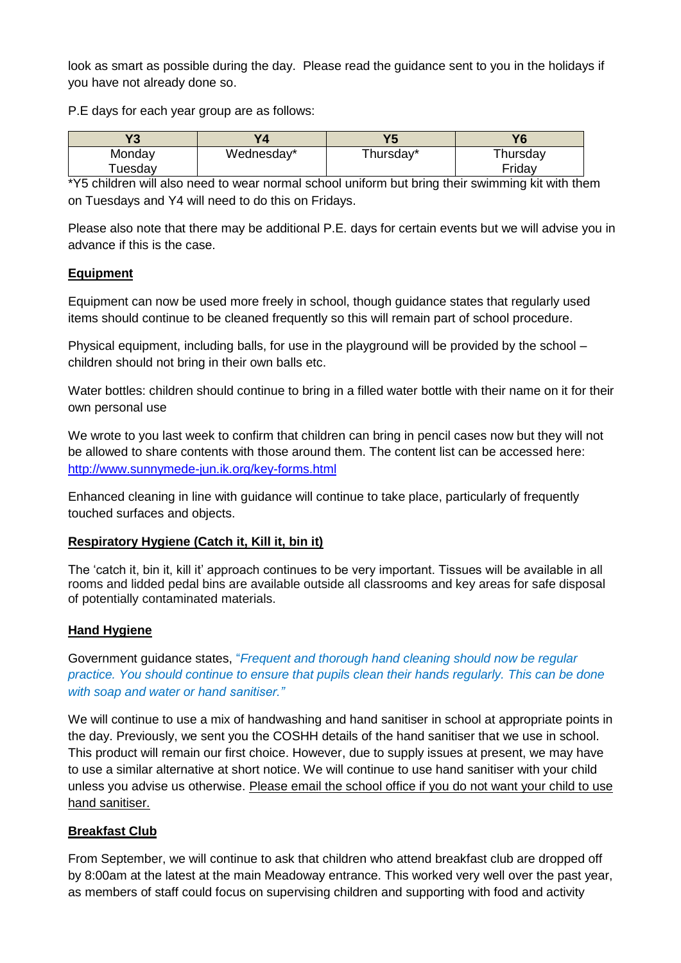look as smart as possible during the day. Please read the guidance sent to you in the holidays if you have not already done so.

P.E days for each year group are as follows:

| $\mathbf{v}$ |            | VE        | <b>16</b>            |
|--------------|------------|-----------|----------------------|
| Monday       | Wednesday* | Thursday* | <sup>-</sup> hursdav |
| uesday       |            |           | Fridav               |

\*Y5 children will also need to wear normal school uniform but bring their swimming kit with them on Tuesdays and Y4 will need to do this on Fridays.

Please also note that there may be additional P.E. days for certain events but we will advise you in advance if this is the case.

# **Equipment**

Equipment can now be used more freely in school, though guidance states that regularly used items should continue to be cleaned frequently so this will remain part of school procedure.

Physical equipment, including balls, for use in the playground will be provided by the school – children should not bring in their own balls etc.

Water bottles: children should continue to bring in a filled water bottle with their name on it for their own personal use

We wrote to you last week to confirm that children can bring in pencil cases now but they will not be allowed to share contents with those around them. The content list can be accessed here: <http://www.sunnymede-jun.ik.org/key-forms.html>

Enhanced cleaning in line with guidance will continue to take place, particularly of frequently touched surfaces and objects.

# **Respiratory Hygiene (Catch it, Kill it, bin it)**

The 'catch it, bin it, kill it' approach continues to be very important. Tissues will be available in all rooms and lidded pedal bins are available outside all classrooms and key areas for safe disposal of potentially contaminated materials.

# **Hand Hygiene**

Government guidance states, "*Frequent and thorough hand cleaning should now be regular practice. You should continue to ensure that pupils clean their hands regularly. This can be done with soap and water or hand sanitiser."*

We will continue to use a mix of handwashing and hand sanitiser in school at appropriate points in the day. Previously, we sent you the COSHH details of the hand sanitiser that we use in school. This product will remain our first choice. However, due to supply issues at present, we may have to use a similar alternative at short notice. We will continue to use hand sanitiser with your child unless you advise us otherwise. Please email the school office if you do not want your child to use hand sanitiser.

# **Breakfast Club**

From September, we will continue to ask that children who attend breakfast club are dropped off by 8:00am at the latest at the main Meadoway entrance. This worked very well over the past year, as members of staff could focus on supervising children and supporting with food and activity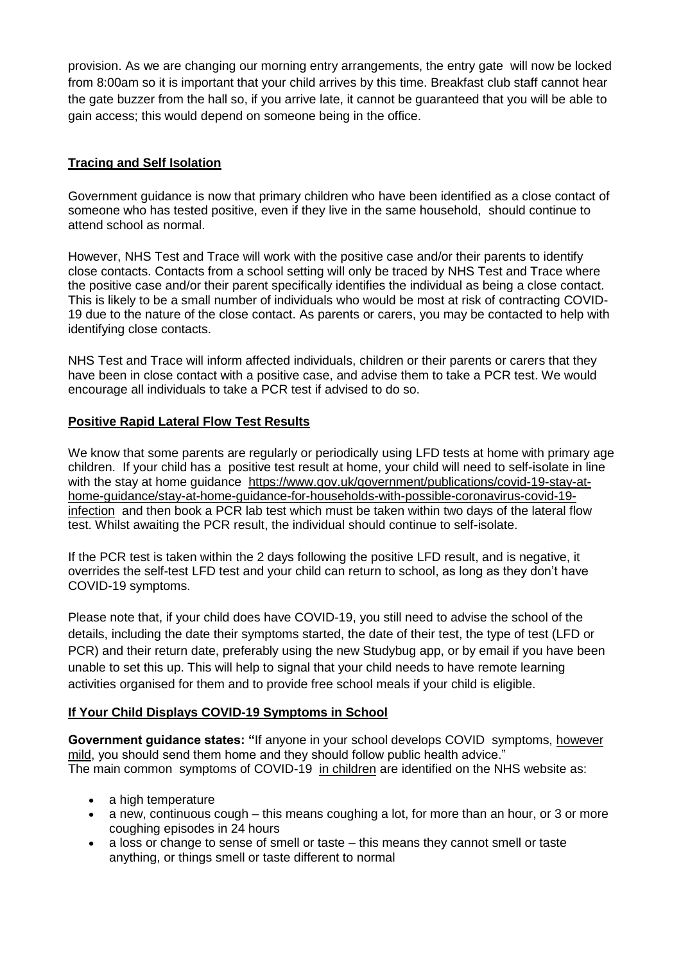provision. As we are changing our morning entry arrangements, the entry gate will now be locked from 8:00am so it is important that your child arrives by this time. Breakfast club staff cannot hear the gate buzzer from the hall so, if you arrive late, it cannot be guaranteed that you will be able to gain access; this would depend on someone being in the office.

#### **Tracing and Self Isolation**

Government guidance is now that primary children who have been identified as a close contact of someone who has tested positive, even if they live in the same household, should continue to attend school as normal.

However, NHS Test and Trace will work with the positive case and/or their parents to identify close contacts. Contacts from a school setting will only be traced by NHS Test and Trace where the positive case and/or their parent specifically identifies the individual as being a close contact. This is likely to be a small number of individuals who would be most at risk of contracting COVID-19 due to the nature of the close contact. As parents or carers, you may be contacted to help with identifying close contacts.

NHS Test and Trace will inform affected individuals, children or their parents or carers that they have been in close contact with a positive case, and advise them to take a PCR test. We would encourage all individuals to take a PCR test if advised to do so.

#### **Positive Rapid Lateral Flow Test Results**

We know that some parents are regularly or periodically using LFD tests at home with primary age children. If your child has a positive test result at home, your child will need to self-isolate in line with the stay at home guidance [https://www.gov.uk/government/publications/covid-19-stay-at](https://www.gov.uk/government/publications/covid-19-stay-at-home-guidance/stay-at-home-guidance-for-households-with-possible-coronavirus-covid-19-infection)[home-guidance/stay-at-home-guidance-for-households-with-possible-coronavirus-covid-19](https://www.gov.uk/government/publications/covid-19-stay-at-home-guidance/stay-at-home-guidance-for-households-with-possible-coronavirus-covid-19-infection) [infection](https://www.gov.uk/government/publications/covid-19-stay-at-home-guidance/stay-at-home-guidance-for-households-with-possible-coronavirus-covid-19-infection) and then book a PCR lab test which must be taken within two days of the lateral flow test. Whilst awaiting the PCR result, the individual should continue to self-isolate.

If the PCR test is taken within the 2 days following the positive LFD result, and is negative, it overrides the self-test LFD test and your child can return to school, as long as they don't have COVID-19 symptoms.

Please note that, if your child does have COVID-19, you still need to advise the school of the details, including the date their symptoms started, the date of their test, the type of test (LFD or PCR) and their return date, preferably using the new Studybug app, or by email if you have been unable to set this up. This will help to signal that your child needs to have remote learning activities organised for them and to provide free school meals if your child is eligible.

# **If Your Child Displays COVID-19 Symptoms in School**

**Government guidance states: "**If anyone in your school develops COVID symptoms, however mild, you should send them home and they should follow public health advice." The main common symptoms of COVID-19 in children are identified on the NHS website as:

- a high temperature
- a new, continuous cough this means coughing a lot, for more than an hour, or 3 or more coughing episodes in 24 hours
- a loss or change to sense of smell or taste this means they cannot smell or taste anything, or things smell or taste different to normal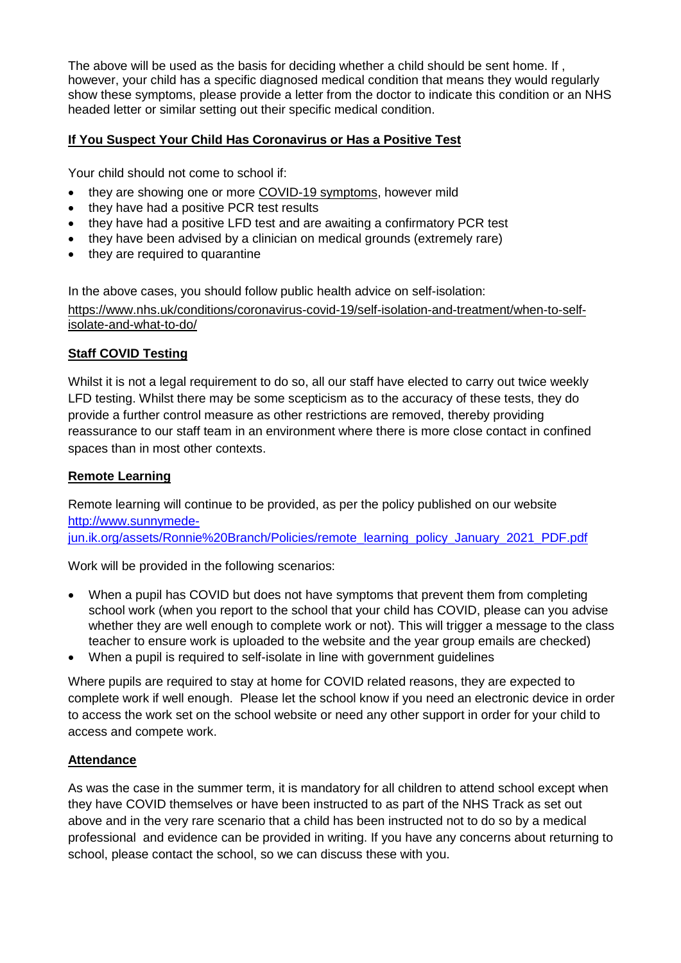The above will be used as the basis for deciding whether a child should be sent home. If , however, your child has a specific diagnosed medical condition that means they would regularly show these symptoms, please provide a letter from the doctor to indicate this condition or an NHS headed letter or similar setting out their specific medical condition.

# **If You Suspect Your Child Has Coronavirus or Has a Positive Test**

Your child should not come to school if:

- they are showing one or more [COVID-19](https://www.nhs.uk/conditions/coronavirus-covid-19/symptoms/) symptoms, however mild
- they have had a positive PCR test results
- they have had a positive LFD test and are awaiting a confirmatory PCR test
- they have been advised by a clinician on medical grounds (extremely rare)
- they are required to quarantine

In the above cases, you should follow public health advice on self-isolation: [https://www.nhs.uk/conditions/coronavirus-covid-19/self-isolation-and-treatment/when-to-self](https://www.nhs.uk/conditions/coronavirus-covid-19/self-isolation-and-treatment/when-to-self-isolate-and-what-to-do/)[isolate-and-what-to-do/](https://www.nhs.uk/conditions/coronavirus-covid-19/self-isolation-and-treatment/when-to-self-isolate-and-what-to-do/)

#### **Staff COVID Testing**

Whilst it is not a legal requirement to do so, all our staff have elected to carry out twice weekly LFD testing. Whilst there may be some scepticism as to the accuracy of these tests, they do provide a further control measure as other restrictions are removed, thereby providing reassurance to our staff team in an environment where there is more close contact in confined spaces than in most other contexts.

#### **Remote Learning**

Remote learning will continue to be provided, as per the policy published on our website [http://www.sunnymede](http://www.sunnymede-jun.ik.org/assets/Ronnie%20Branch/Policies/remote_learning_policy_January_2021_PDF.pdf)[jun.ik.org/assets/Ronnie%20Branch/Policies/remote\\_learning\\_policy\\_January\\_2021\\_PDF.pdf](http://www.sunnymede-jun.ik.org/assets/Ronnie%20Branch/Policies/remote_learning_policy_January_2021_PDF.pdf)

Work will be provided in the following scenarios:

- When a pupil has COVID but does not have symptoms that prevent them from completing school work (when you report to the school that your child has COVID, please can you advise whether they are well enough to complete work or not). This will trigger a message to the class teacher to ensure work is uploaded to the website and the year group emails are checked)
- When a pupil is required to self-isolate in line with government guidelines

Where pupils are required to stay at home for COVID related reasons, they are expected to complete work if well enough. Please let the school know if you need an electronic device in order to access the work set on the school website or need any other support in order for your child to access and compete work.

#### **Attendance**

As was the case in the summer term, it is mandatory for all children to attend school except when they have COVID themselves or have been instructed to as part of the NHS Track as set out above and in the very rare scenario that a child has been instructed not to do so by a medical professional and evidence can be provided in writing. If you have any concerns about returning to school, please contact the school, so we can discuss these with you.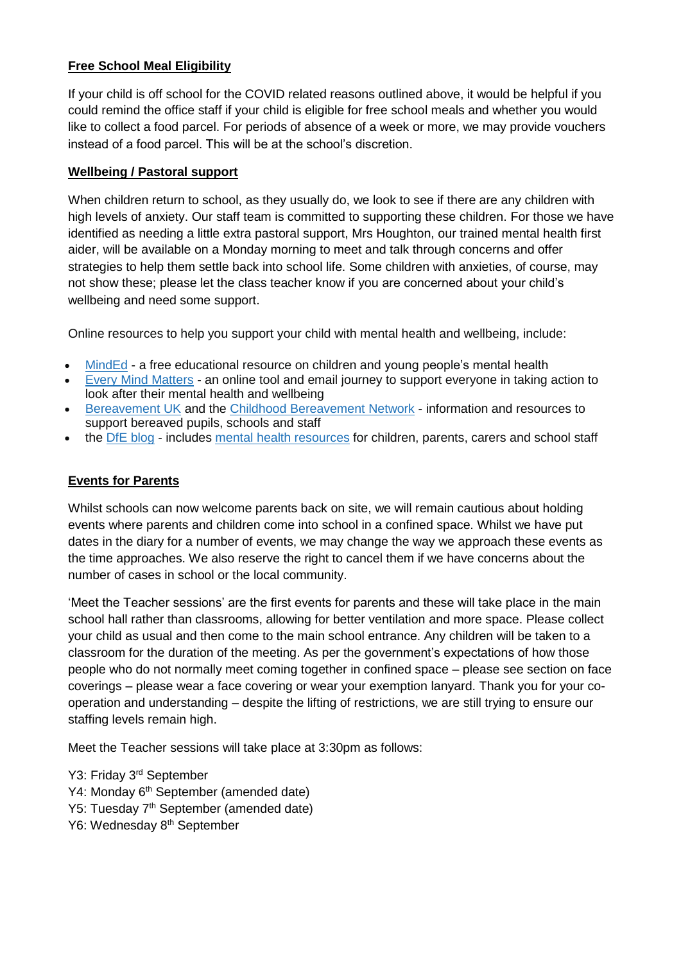# **Free School Meal Eligibility**

If your child is off school for the COVID related reasons outlined above, it would be helpful if you could remind the office staff if your child is eligible for free school meals and whether you would like to collect a food parcel. For periods of absence of a week or more, we may provide vouchers instead of a food parcel. This will be at the school's discretion.

#### **Wellbeing / Pastoral support**

When children return to school, as they usually do, we look to see if there are any children with high levels of anxiety. Our staff team is committed to supporting these children. For those we have identified as needing a little extra pastoral support, Mrs Houghton, our trained mental health first aider, will be available on a Monday morning to meet and talk through concerns and offer strategies to help them settle back into school life. Some children with anxieties, of course, may not show these; please let the class teacher know if you are concerned about your child's wellbeing and need some support.

Online resources to help you support your child with mental health and wellbeing, include:

- [MindEd](https://www.minded.org.uk/) a free educational resource on children and young people's mental health
- Every Mind [Matters](https://www.nhs.uk/oneyou/every-mind-matters/) an online tool and email journey to support everyone in taking action to look after their mental health and wellbeing
- [Bereavement](http://www.childhoodbereavementnetwork.org.uk/covid-19.aspx) UK and the Childhood Bereavement Network information and resources to support bereaved pupils, schools and staff
- the DfE [blog](https://dfemedia.blog.gov.uk/) includes mental health [resources](https://dfemedia.blog.gov.uk/2021/02/01/mental-health-resources-for-children-parents-carers-and-school-staff/) for children, parents, carers and school staff

# **Events for Parents**

Whilst schools can now welcome parents back on site, we will remain cautious about holding events where parents and children come into school in a confined space. Whilst we have put dates in the diary for a number of events, we may change the way we approach these events as the time approaches. We also reserve the right to cancel them if we have concerns about the number of cases in school or the local community.

'Meet the Teacher sessions' are the first events for parents and these will take place in the main school hall rather than classrooms, allowing for better ventilation and more space. Please collect your child as usual and then come to the main school entrance. Any children will be taken to a classroom for the duration of the meeting. As per the government's expectations of how those people who do not normally meet coming together in confined space – please see section on face coverings – please wear a face covering or wear your exemption lanyard. Thank you for your cooperation and understanding – despite the lifting of restrictions, we are still trying to ensure our staffing levels remain high.

Meet the Teacher sessions will take place at 3:30pm as follows:

- Y3: Friday 3<sup>rd</sup> September
- Y4: Monday 6<sup>th</sup> September (amended date)
- Y5: Tuesday 7th September (amended date)
- Y6: Wednesday 8<sup>th</sup> September